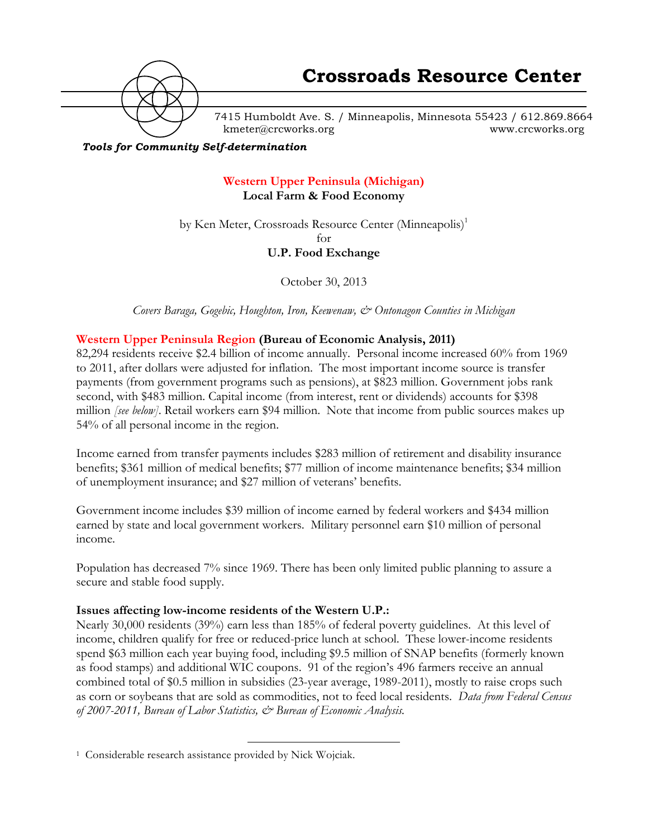

7415 Humboldt Ave. S. / Minneapolis, Minnesota 55423 / 612.869.8664 kmeter@crcworks.org www.crcworks.org

#### *Tools for Community Self-determination*

# **Western Upper Peninsula (Michigan) Local Farm & Food Economy**

by Ken Meter, Crossroads Resource Center (Minneapolis)<sup>1</sup> for

## **U.P. Food Exchange**

October 30, 2013

*Covers Baraga, Gogebic, Houghton, Iron, Keewenaw, & Ontonagon Counties in Michigan*

### **Western Upper Peninsula Region (Bureau of Economic Analysis, 2011)**

82,294 residents receive \$2.4 billion of income annually. Personal income increased 60% from 1969 to 2011, after dollars were adjusted for inflation. The most important income source is transfer payments (from government programs such as pensions), at \$823 million. Government jobs rank second, with \$483 million. Capital income (from interest, rent or dividends) accounts for \$398 million *[see below]*. Retail workers earn \$94 million. Note that income from public sources makes up 54% of all personal income in the region.

Income earned from transfer payments includes \$283 million of retirement and disability insurance benefits; \$361 million of medical benefits; \$77 million of income maintenance benefits; \$34 million of unemployment insurance; and \$27 million of veterans' benefits.

Government income includes \$39 million of income earned by federal workers and \$434 million earned by state and local government workers. Military personnel earn \$10 million of personal income.

Population has decreased 7% since 1969. There has been only limited public planning to assure a secure and stable food supply.

### **Issues affecting low-income residents of the Western U.P.:**

Nearly 30,000 residents (39%) earn less than 185% of federal poverty guidelines. At this level of income, children qualify for free or reduced-price lunch at school. These lower-income residents spend \$63 million each year buying food, including \$9.5 million of SNAP benefits (formerly known as food stamps) and additional WIC coupons. 91 of the region's 496 farmers receive an annual combined total of \$0.5 million in subsidies (23-year average, 1989-2011), mostly to raise crops such as corn or soybeans that are sold as commodities, not to feed local residents. *Data from Federal Census of 2007-2011, Bureau of Labor Statistics, & Bureau of Economic Analysis.*

 <sup>1</sup> Considerable research assistance provided by Nick Wojciak.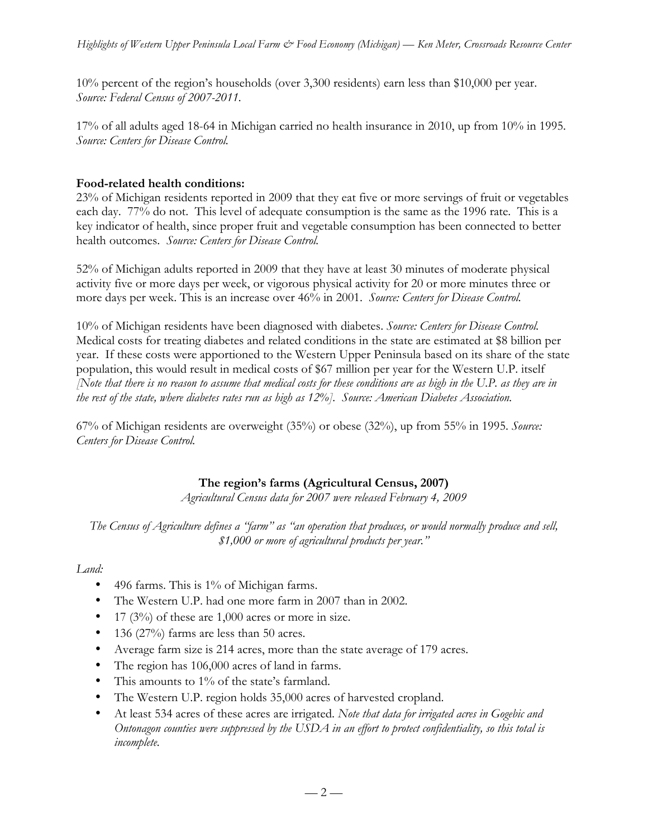10% percent of the region's households (over 3,300 residents) earn less than \$10,000 per year. *Source: Federal Census of 2007-2011.*

17% of all adults aged 18-64 in Michigan carried no health insurance in 2010, up from 10% in 1995. *Source: Centers for Disease Control.*

# **Food-related health conditions:**

23% of Michigan residents reported in 2009 that they eat five or more servings of fruit or vegetables each day. 77% do not. This level of adequate consumption is the same as the 1996 rate. This is a key indicator of health, since proper fruit and vegetable consumption has been connected to better health outcomes. *Source: Centers for Disease Control.*

52% of Michigan adults reported in 2009 that they have at least 30 minutes of moderate physical activity five or more days per week, or vigorous physical activity for 20 or more minutes three or more days per week. This is an increase over 46% in 2001. *Source: Centers for Disease Control.*

10% of Michigan residents have been diagnosed with diabetes. *Source: Centers for Disease Control.* Medical costs for treating diabetes and related conditions in the state are estimated at \$8 billion per year. If these costs were apportioned to the Western Upper Peninsula based on its share of the state population, this would result in medical costs of \$67 million per year for the Western U.P. itself *[Note that there is no reason to assume that medical costs for these conditions are as high in the U.P. as they are in the rest of the state, where diabetes rates run as high as 12%]. Source: American Diabetes Association.*

67% of Michigan residents are overweight (35%) or obese (32%), up from 55% in 1995. *Source: Centers for Disease Control.*

# **The region's farms (Agricultural Census, 2007)**

*Agricultural Census data for 2007 were released February 4, 2009*

*The Census of Agriculture defines a "farm" as "an operation that produces, or would normally produce and sell, \$1,000 or more of agricultural products per year."*

### *Land:*

- 496 farms. This is 1% of Michigan farms.
- The Western U.P. had one more farm in 2007 than in 2002.
- 17 (3%) of these are 1,000 acres or more in size.
- 136 (27%) farms are less than 50 acres.
- Average farm size is 214 acres, more than the state average of 179 acres.
- The region has 106,000 acres of land in farms.
- This amounts to 1% of the state's farmland.
- The Western U.P. region holds 35,000 acres of harvested cropland.
- At least 534 acres of these acres are irrigated. *Note that data for irrigated acres in Gogebic and Ontonagon counties were suppressed by the USDA in an effort to protect confidentiality, so this total is incomplete.*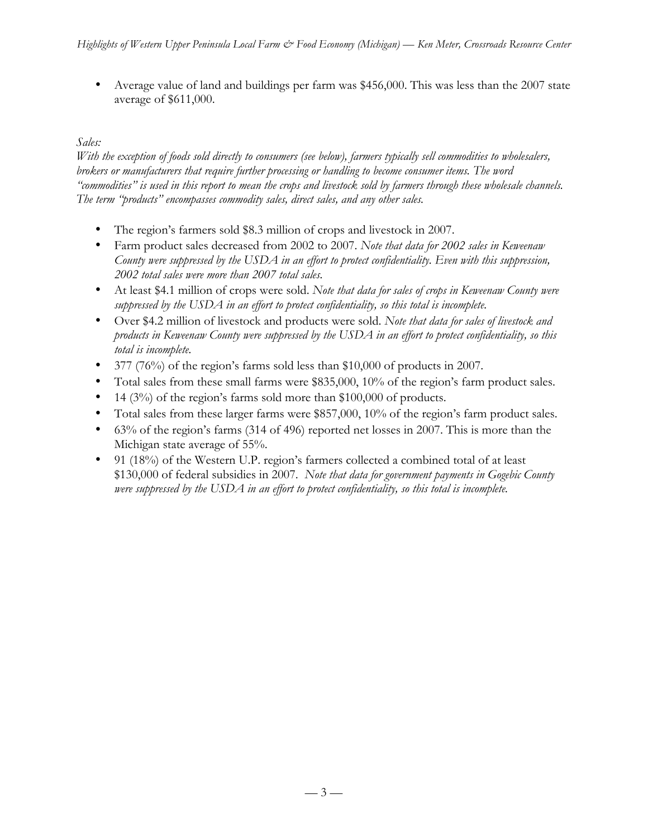• Average value of land and buildings per farm was \$456,000. This was less than the 2007 state average of \$611,000.

# *Sales:*

*With the exception of foods sold directly to consumers (see below), farmers typically sell commodities to wholesalers, brokers or manufacturers that require further processing or handling to become consumer items. The word "commodities" is used in this report to mean the crops and livestock sold by farmers through these wholesale channels. The term "products" encompasses commodity sales, direct sales, and any other sales.* 

- The region's farmers sold \$8.3 million of crops and livestock in 2007.
- Farm product sales decreased from 2002 to 2007. *Note that data for 2002 sales in Keweenaw County were suppressed by the USDA in an effort to protect confidentiality. Even with this suppression, 2002 total sales were more than 2007 total sales.*
- At least \$4.1 million of crops were sold. *Note that data for sales of crops in Keweenaw County were suppressed by the USDA in an effort to protect confidentiality, so this total is incomplete.*
- Over \$4.2 million of livestock and products were sold. *Note that data for sales of livestock and products in Keweenaw County were suppressed by the USDA in an effort to protect confidentiality, so this total is incomplete.*
- 377 (76%) of the region's farms sold less than \$10,000 of products in 2007.
- Total sales from these small farms were \$835,000, 10% of the region's farm product sales.
- 14 (3%) of the region's farms sold more than \$100,000 of products.
- Total sales from these larger farms were \$857,000, 10% of the region's farm product sales.
- 63% of the region's farms (314 of 496) reported net losses in 2007. This is more than the Michigan state average of 55%.
- 91 (18%) of the Western U.P. region's farmers collected a combined total of at least \$130,000 of federal subsidies in 2007. *Note that data for government payments in Gogebic County were suppressed by the USDA in an effort to protect confidentiality, so this total is incomplete.*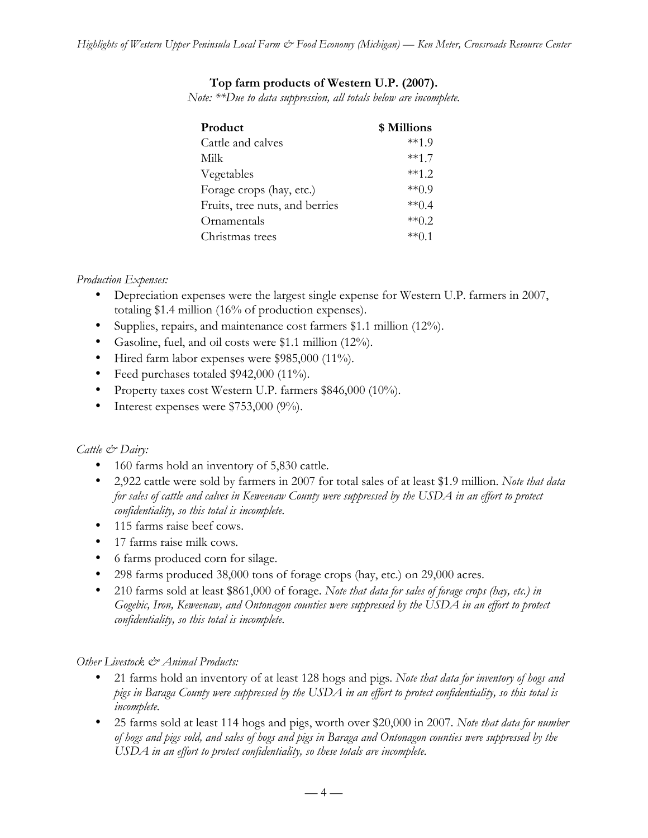# **Top farm products of Western U.P. (2007).**

*Note: \*\*Due to data suppression, all totals below are incomplete.* 

| Product                        | \$ Millions |
|--------------------------------|-------------|
| Cattle and calves              | $**19$      |
| Milk                           | $***17$     |
| Vegetables                     | $**12$      |
| Forage crops (hay, etc.)       | $**09$      |
| Fruits, tree nuts, and berries | **04        |
| Ornamentals                    | $**02$      |
| Christmas trees                | **∩ 1       |

## *Production Expenses:*

- Depreciation expenses were the largest single expense for Western U.P. farmers in 2007, totaling \$1.4 million (16% of production expenses).
- Supplies, repairs, and maintenance cost farmers \$1.1 million (12%).
- Gasoline, fuel, and oil costs were \$1.1 million (12%).
- Hired farm labor expenses were \$985,000 (11%).
- Feed purchases totaled \$942,000 (11%).
- Property taxes cost Western U.P. farmers \$846,000 (10%).
- Interest expenses were \$753,000 (9%).

# *Cattle & Dairy:*

- 160 farms hold an inventory of 5,830 cattle.
- 2,922 cattle were sold by farmers in 2007 for total sales of at least \$1.9 million. *Note that data for sales of cattle and calves in Keweenaw County were suppressed by the USDA in an effort to protect confidentiality, so this total is incomplete.*
- 115 farms raise beef cows.
- 17 farms raise milk cows.
- 6 farms produced corn for silage.
- 298 farms produced 38,000 tons of forage crops (hay, etc.) on 29,000 acres.
- 210 farms sold at least \$861,000 of forage. *Note that data for sales of forage crops (hay, etc.) in Gogebic, Iron, Keweenaw, and Ontonagon counties were suppressed by the USDA in an effort to protect confidentiality, so this total is incomplete.*

# *Other Livestock & Animal Products:*

- 21 farms hold an inventory of at least 128 hogs and pigs. *Note that data for inventory of hogs and pigs in Baraga County were suppressed by the USDA in an effort to protect confidentiality, so this total is incomplete.*
- 25 farms sold at least 114 hogs and pigs, worth over \$20,000 in 2007. *Note that data for number of hogs and pigs sold, and sales of hogs and pigs in Baraga and Ontonagon counties were suppressed by the USDA in an effort to protect confidentiality, so these totals are incomplete.*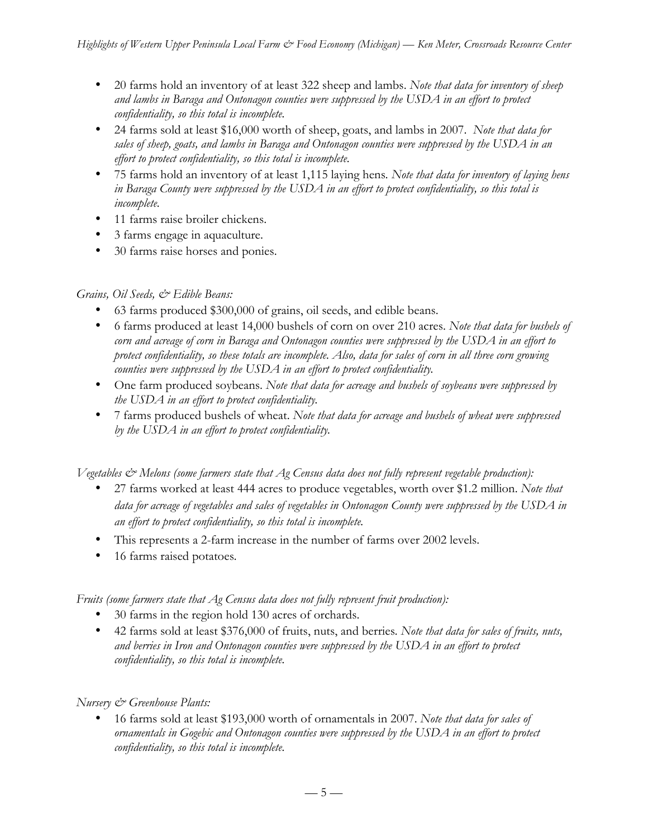- 20 farms hold an inventory of at least 322 sheep and lambs. *Note that data for inventory of sheep and lambs in Baraga and Ontonagon counties were suppressed by the USDA in an effort to protect confidentiality, so this total is incomplete.*
- 24 farms sold at least \$16,000 worth of sheep, goats, and lambs in 2007. *Note that data for sales of sheep, goats, and lambs in Baraga and Ontonagon counties were suppressed by the USDA in an effort to protect confidentiality, so this total is incomplete.*
- 75 farms hold an inventory of at least 1,115 laying hens*. Note that data for inventory of laying hens in Baraga County were suppressed by the USDA in an effort to protect confidentiality, so this total is incomplete.*
- 11 farms raise broiler chickens.
- 3 farms engage in aquaculture.
- 30 farms raise horses and ponies.

# *Grains, Oil Seeds, & Edible Beans:*

- 63 farms produced \$300,000 of grains, oil seeds, and edible beans.
- 6 farms produced at least 14,000 bushels of corn on over 210 acres. *Note that data for bushels of corn and acreage of corn in Baraga and Ontonagon counties were suppressed by the USDA in an effort to protect confidentiality, so these totals are incomplete. Also, data for sales of corn in all three corn growing counties were suppressed by the USDA in an effort to protect confidentiality.*
- One farm produced soybeans. *Note that data for acreage and bushels of soybeans were suppressed by the USDA in an effort to protect confidentiality.*
- 7 farms produced bushels of wheat. *Note that data for acreage and bushels of wheat were suppressed by the USDA in an effort to protect confidentiality.*

*Vegetables & Melons (some farmers state that Ag Census data does not fully represent vegetable production):*

- 27 farms worked at least 444 acres to produce vegetables, worth over \$1.2 million. *Note that data for acreage of vegetables and sales of vegetables in Ontonagon County were suppressed by the USDA in an effort to protect confidentiality, so this total is incomplete.*
- This represents a 2-farm increase in the number of farms over 2002 levels.
- 16 farms raised potatoes*.*

*Fruits (some farmers state that Ag Census data does not fully represent fruit production):*

- 30 farms in the region hold 130 acres of orchards.
- 42 farms sold at least \$376,000 of fruits, nuts, and berries*. Note that data for sales of fruits, nuts, and berries in Iron and Ontonagon counties were suppressed by the USDA in an effort to protect confidentiality, so this total is incomplete.*

# *Nursery & Greenhouse Plants:*

• 16 farms sold at least \$193,000 worth of ornamentals in 2007. *Note that data for sales of ornamentals in Gogebic and Ontonagon counties were suppressed by the USDA in an effort to protect confidentiality, so this total is incomplete.*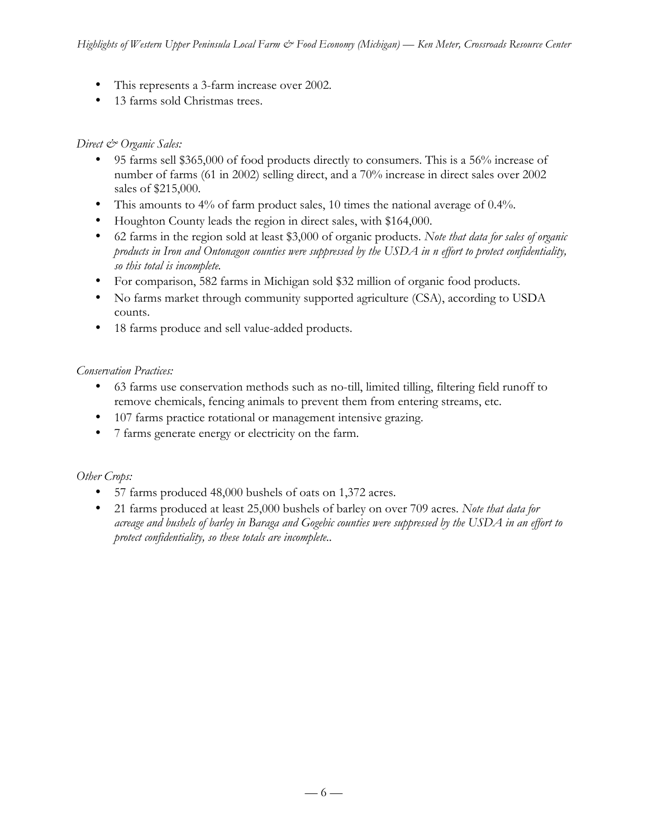- This represents a 3-farm increase over 2002.
- 13 farms sold Christmas trees.

## *Direct & Organic Sales:*

- 95 farms sell \$365,000 of food products directly to consumers. This is a 56% increase of number of farms (61 in 2002) selling direct, and a 70% increase in direct sales over 2002 sales of \$215,000.
- This amounts to 4% of farm product sales, 10 times the national average of 0.4%.
- Houghton County leads the region in direct sales, with \$164,000.
- 62 farms in the region sold at least \$3,000 of organic products. *Note that data for sales of organic products in Iron and Ontonagon counties were suppressed by the USDA in n effort to protect confidentiality, so this total is incomplete.*
- For comparison, 582 farms in Michigan sold \$32 million of organic food products.
- No farms market through community supported agriculture (CSA), according to USDA counts.
- 18 farms produce and sell value-added products.

## *Conservation Practices:*

- 63 farms use conservation methods such as no-till, limited tilling, filtering field runoff to remove chemicals, fencing animals to prevent them from entering streams, etc.
- 107 farms practice rotational or management intensive grazing.
- 7 farms generate energy or electricity on the farm.

### *Other Crops:*

- 57 farms produced 48,000 bushels of oats on 1,372 acres.
- 21 farms produced at least 25,000 bushels of barley on over 709 acres. *Note that data for acreage and bushels of barley in Baraga and Gogebic counties were suppressed by the USDA in an effort to protect confidentiality, so these totals are incomplete..*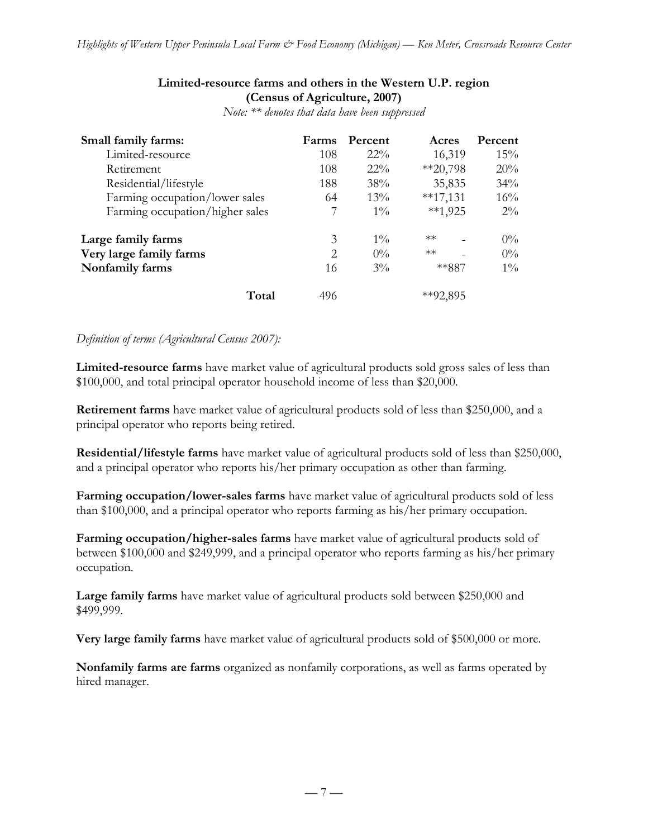## **Limited-resource farms and others in the Western U.P. region (Census of Agriculture, 2007)**

| Small family farms:             | Farms | Percent | Acres        | Percent |
|---------------------------------|-------|---------|--------------|---------|
| Limited-resource                | 108   | $22\%$  | 16,319       | 15%     |
| Retirement                      | 108   | $22\%$  | $*20,798$    | 20%     |
| Residential/lifestyle           | 188   | 38%     | 35,835       | 34%     |
| Farming occupation/lower sales  | 64    | $13\%$  | $*17,131$    | 16%     |
| Farming occupation/higher sales |       | $1\%$   | $**1,925$    | $2\%$   |
| Large family farms              | 3     | $1\%$   | $**$         | $0\%$   |
| Very large family farms         | 2     | $0\%$   | $**$         | $0\%$   |
| Nonfamily farms                 | 16    | $3\%$   | **887        | $1\%$   |
| Total                           | 496   |         | $*$ $92,895$ |         |

*Note: \*\* denotes that data have been suppressed*

### *Definition of terms (Agricultural Census 2007):*

**Limited-resource farms** have market value of agricultural products sold gross sales of less than \$100,000, and total principal operator household income of less than \$20,000.

**Retirement farms** have market value of agricultural products sold of less than \$250,000, and a principal operator who reports being retired.

**Residential/lifestyle farms** have market value of agricultural products sold of less than \$250,000, and a principal operator who reports his/her primary occupation as other than farming.

**Farming occupation/lower-sales farms** have market value of agricultural products sold of less than \$100,000, and a principal operator who reports farming as his/her primary occupation.

**Farming occupation/higher-sales farms** have market value of agricultural products sold of between \$100,000 and \$249,999, and a principal operator who reports farming as his/her primary occupation.

**Large family farms** have market value of agricultural products sold between \$250,000 and \$499,999.

**Very large family farms** have market value of agricultural products sold of \$500,000 or more.

**Nonfamily farms are farms** organized as nonfamily corporations, as well as farms operated by hired manager.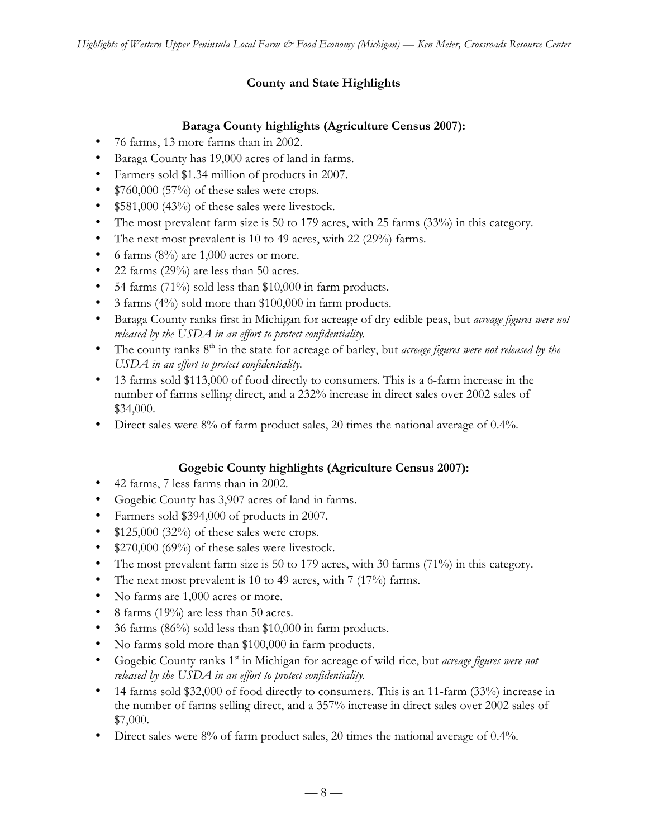# **County and State Highlights**

# **Baraga County highlights (Agriculture Census 2007):**

- 76 farms, 13 more farms than in 2002.
- Baraga County has 19,000 acres of land in farms.
- Farmers sold \$1.34 million of products in 2007.
- $$760,000 (57%)$  of these sales were crops.
- \$581,000 (43%) of these sales were livestock.
- The most prevalent farm size is 50 to 179 acres, with 25 farms (33%) in this category.
- The next most prevalent is 10 to 49 acres, with 22 (29%) farms.
- 6 farms  $(8\%)$  are 1,000 acres or more.
- 22 farms (29%) are less than 50 acres.
- 54 farms (71%) sold less than \$10,000 in farm products.
- 3 farms (4%) sold more than \$100,000 in farm products.
- Baraga County ranks first in Michigan for acreage of dry edible peas, but *acreage figures were not released by the USDA in an effort to protect confidentiality.*
- The county ranks 8<sup>th</sup> in the state for acreage of barley, but *acreage figures were not released by the USDA in an effort to protect confidentiality.*
- 13 farms sold \$113,000 of food directly to consumers. This is a 6-farm increase in the number of farms selling direct, and a 232% increase in direct sales over 2002 sales of \$34,000.
- Direct sales were 8% of farm product sales, 20 times the national average of 0.4%.

# **Gogebic County highlights (Agriculture Census 2007):**

- 42 farms, 7 less farms than in 2002.
- Gogebic County has 3,907 acres of land in farms.
- Farmers sold \$394,000 of products in 2007.
- $$125,000$  (32%) of these sales were crops.
- \$270,000 (69%) of these sales were livestock.
- The most prevalent farm size is 50 to 179 acres, with 30 farms (71%) in this category.
- The next most prevalent is 10 to 49 acres, with 7 (17%) farms.
- No farms are 1,000 acres or more.
- 8 farms (19%) are less than 50 acres.
- 36 farms (86%) sold less than \$10,000 in farm products.
- No farms sold more than \$100,000 in farm products.
- Gogebic County ranks 1<sup>st</sup> in Michigan for acreage of wild rice, but *acreage figures were not released by the USDA in an effort to protect confidentiality.*
- 14 farms sold \$32,000 of food directly to consumers. This is an 11-farm (33%) increase in the number of farms selling direct, and a 357% increase in direct sales over 2002 sales of \$7,000.
- Direct sales were 8% of farm product sales, 20 times the national average of 0.4%.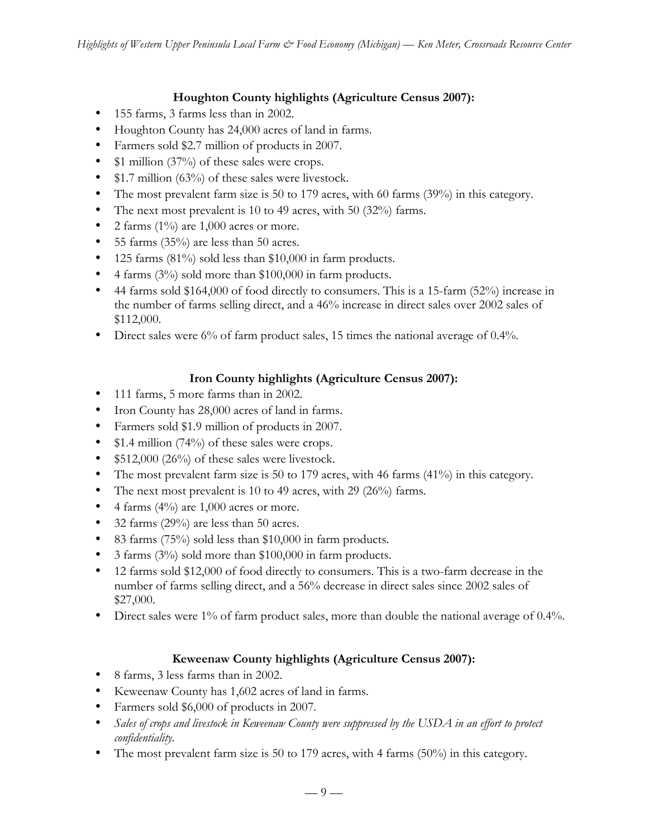# **Houghton County highlights (Agriculture Census 2007):**

- 155 farms, 3 farms less than in 2002.
- Houghton County has 24,000 acres of land in farms.
- Farmers sold \$2.7 million of products in 2007.
- \$1 million (37%) of these sales were crops.
- \$1.7 million (63%) of these sales were livestock.
- The most prevalent farm size is 50 to 179 acres, with 60 farms (39%) in this category.
- The next most prevalent is 10 to 49 acres, with 50 (32%) farms.
- 2 farms  $(1\%)$  are 1,000 acres or more.
- 55 farms (35%) are less than 50 acres.
- 125 farms (81%) sold less than \$10,000 in farm products.
- 4 farms (3%) sold more than \$100,000 in farm products.
- 44 farms sold \$164,000 of food directly to consumers. This is a 15-farm (52%) increase in the number of farms selling direct, and a 46% increase in direct sales over 2002 sales of \$112,000.
- Direct sales were 6% of farm product sales, 15 times the national average of 0.4%.

# **Iron County highlights (Agriculture Census 2007):**

- 111 farms, 5 more farms than in 2002.
- Iron County has 28,000 acres of land in farms.
- Farmers sold \$1.9 million of products in 2007.
- \$1.4 million (74%) of these sales were crops.
- \$512,000 (26%) of these sales were livestock.
- The most prevalent farm size is 50 to 179 acres, with 46 farms (41%) in this category.
- The next most prevalent is 10 to 49 acres, with 29 (26%) farms.
- 4 farms  $(4\%)$  are 1,000 acres or more.
- 32 farms (29%) are less than 50 acres.
- 83 farms (75%) sold less than \$10,000 in farm products.
- 3 farms (3%) sold more than \$100,000 in farm products.
- 12 farms sold \$12,000 of food directly to consumers. This is a two-farm decrease in the number of farms selling direct, and a 56% decrease in direct sales since 2002 sales of \$27,000.
- Direct sales were 1% of farm product sales, more than double the national average of 0.4%.

# **Keweenaw County highlights (Agriculture Census 2007):**

- 8 farms, 3 less farms than in 2002.
- Keweenaw County has 1,602 acres of land in farms.
- Farmers sold \$6,000 of products in 2007.
- Sales of crops and livestock in Keweenaw County were suppressed by the USDA in an effort to protect *confidentiality.*
- The most prevalent farm size is 50 to 179 acres, with 4 farms (50%) in this category.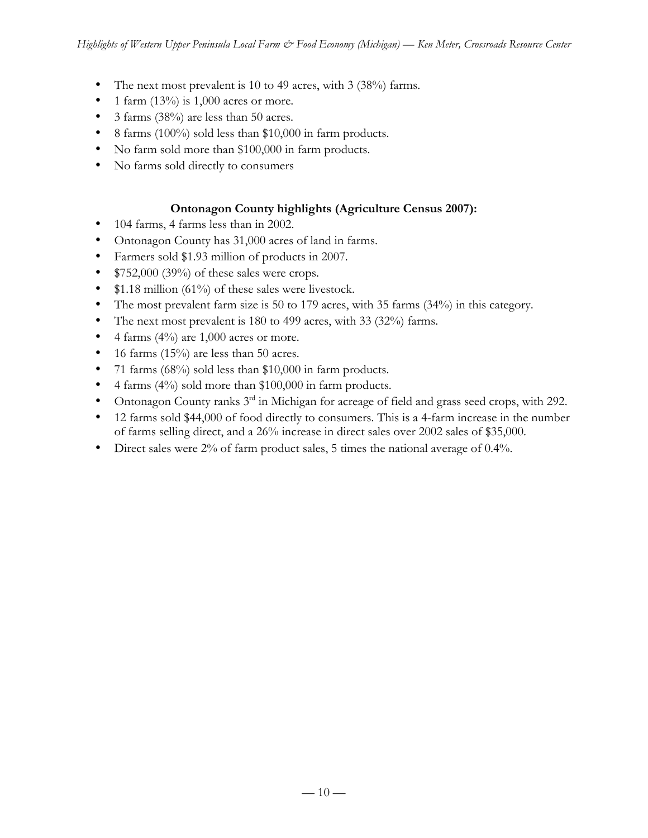- The next most prevalent is 10 to 49 acres, with 3 (38%) farms.
- 1 farm  $(13\%)$  is 1,000 acres or more.
- 3 farms (38%) are less than 50 acres.
- 8 farms (100%) sold less than \$10,000 in farm products.
- No farm sold more than \$100,000 in farm products.
- No farms sold directly to consumers

# **Ontonagon County highlights (Agriculture Census 2007):**

- 104 farms, 4 farms less than in 2002.
- Ontonagon County has 31,000 acres of land in farms.
- Farmers sold \$1.93 million of products in 2007.
- \$752,000 (39%) of these sales were crops.
- \$1.18 million (61%) of these sales were livestock.
- The most prevalent farm size is 50 to 179 acres, with 35 farms (34%) in this category.
- The next most prevalent is 180 to 499 acres, with 33 (32%) farms.
- 4 farms  $(4\%)$  are 1,000 acres or more.
- 16 farms  $(15\%)$  are less than 50 acres.
- 71 farms (68%) sold less than \$10,000 in farm products.
- 4 farms (4%) sold more than \$100,000 in farm products.
- Ontonagon County ranks 3<sup>rd</sup> in Michigan for acreage of field and grass seed crops, with 292.
- 12 farms sold \$44,000 of food directly to consumers. This is a 4-farm increase in the number of farms selling direct, and a 26% increase in direct sales over 2002 sales of \$35,000.
- Direct sales were 2% of farm product sales, 5 times the national average of 0.4%.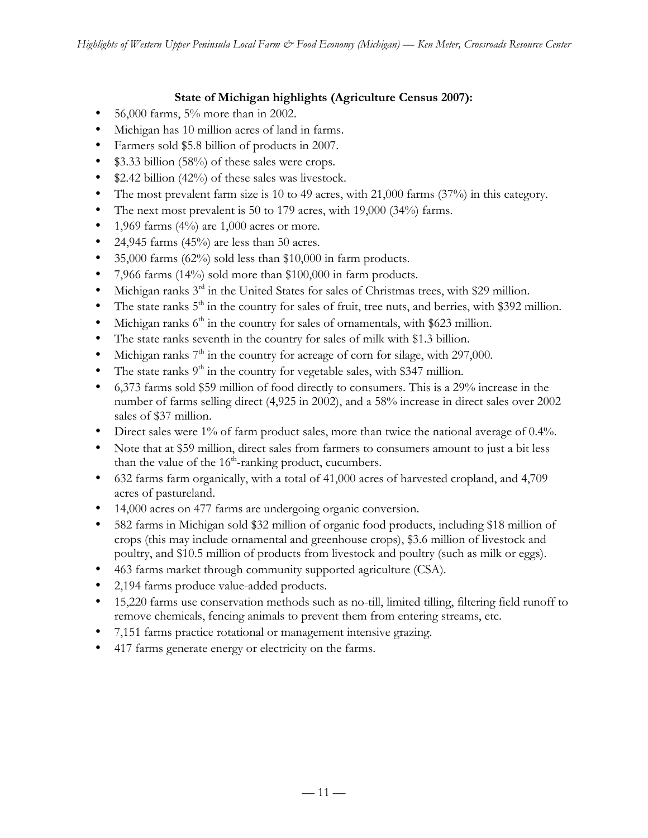# **State of Michigan highlights (Agriculture Census 2007):**

- $56,000$  farms,  $5%$  more than in 2002.
- Michigan has 10 million acres of land in farms.
- Farmers sold \$5.8 billion of products in 2007.
- \$3.33 billion (58%) of these sales were crops.
- \$2.42 billion (42%) of these sales was livestock.
- The most prevalent farm size is 10 to 49 acres, with 21,000 farms (37%) in this category.
- The next most prevalent is 50 to 179 acres, with 19,000 (34%) farms.
- 1,969 farms  $(4\%)$  are 1,000 acres or more.
- 24,945 farms  $(45%)$  are less than 50 acres.
- 35,000 farms  $(62\%)$  sold less than \$10,000 in farm products.
- 7,966 farms (14%) sold more than \$100,000 in farm products.
- Michigan ranks  $3<sup>rd</sup>$  in the United States for sales of Christmas trees, with \$29 million.
- The state ranks  $5<sup>th</sup>$  in the country for sales of fruit, tree nuts, and berries, with \$392 million.
- Michigan ranks  $6<sup>th</sup>$  in the country for sales of ornamentals, with \$623 million.
- The state ranks seventh in the country for sales of milk with \$1.3 billion.
- Michigan ranks  $7<sup>th</sup>$  in the country for acreage of corn for silage, with 297,000.
- The state ranks  $9<sup>th</sup>$  in the country for vegetable sales, with \$347 million.
- 6,373 farms sold \$59 million of food directly to consumers. This is a 29% increase in the number of farms selling direct (4,925 in 2002), and a 58% increase in direct sales over 2002 sales of \$37 million.
- Direct sales were 1% of farm product sales, more than twice the national average of 0.4%.
- Note that at \$59 million, direct sales from farmers to consumers amount to just a bit less than the value of the  $16<sup>th</sup>$ -ranking product, cucumbers.
- 632 farms farm organically, with a total of 41,000 acres of harvested cropland, and 4,709 acres of pastureland.
- 14,000 acres on 477 farms are undergoing organic conversion.
- 582 farms in Michigan sold \$32 million of organic food products, including \$18 million of crops (this may include ornamental and greenhouse crops), \$3.6 million of livestock and poultry, and \$10.5 million of products from livestock and poultry (such as milk or eggs).
- 463 farms market through community supported agriculture (CSA).
- 2,194 farms produce value-added products.
- 15,220 farms use conservation methods such as no-till, limited tilling, filtering field runoff to remove chemicals, fencing animals to prevent them from entering streams, etc.
- 7,151 farms practice rotational or management intensive grazing.
- 417 farms generate energy or electricity on the farms.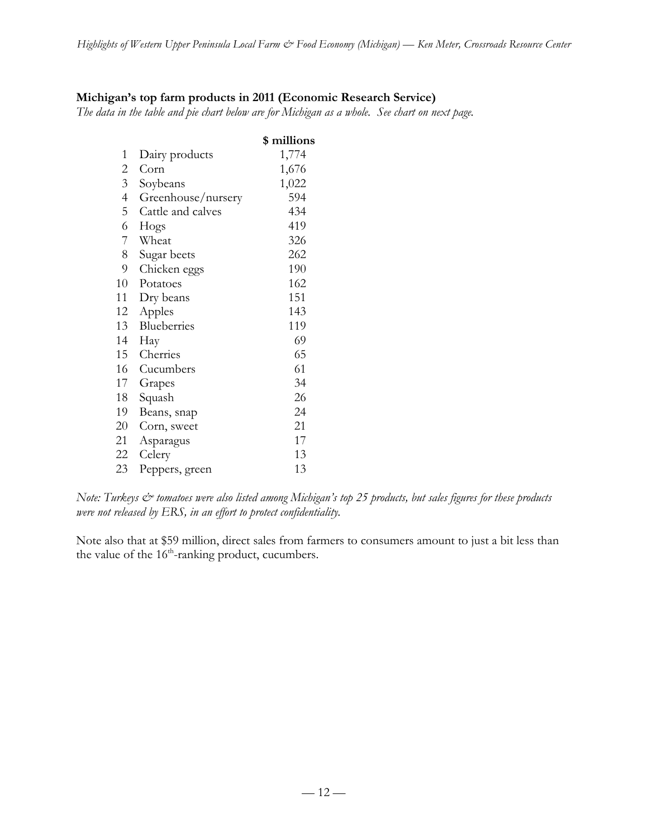# **Michigan's top farm products in 2011 (Economic Research Service)**

*The data in the table and pie chart below are for Michigan as a whole. See chart on next page.*

|                |                    | \$ millions |
|----------------|--------------------|-------------|
| $\mathbf{1}$   | Dairy products     | 1,774       |
| 2              | Corn               | 1,676       |
| $\overline{3}$ | Soybeans           | 1,022       |
| $\overline{4}$ | Greenhouse/nursery | 594         |
| 5              | Cattle and calves  | 434         |
| 6              | Hogs               | 419         |
| 7              | Wheat              | 326         |
| 8              | Sugar beets        | 262         |
| 9              | Chicken eggs       | 190         |
| 10             | Potatoes           | 162         |
| 11             | Dry beans          | 151         |
| 12             | Apples             | 143         |
| 13             | Blueberries        | 119         |
| 14             | Hay                | 69          |
| 15             | Cherries           | 65          |
| 16             | Cucumbers          | 61          |
| 17             | Grapes             | 34          |
| 18             | Squash             | 26          |
| 19             | Beans, snap        | 24          |
| 20             | Corn, sweet        | 21          |
| 21             | Asparagus          | 17          |
| 22             | Celery             | 13          |
| 23             | Peppers, green     | 13          |

*Note: Turkeys*  $\breve{c}$  *tomatoes were also listed among Michigan's top 25 products, but sales figures for these products were not released by ERS, in an effort to protect confidentiality.*

Note also that at \$59 million, direct sales from farmers to consumers amount to just a bit less than the value of the  $16<sup>th</sup>$ -ranking product, cucumbers.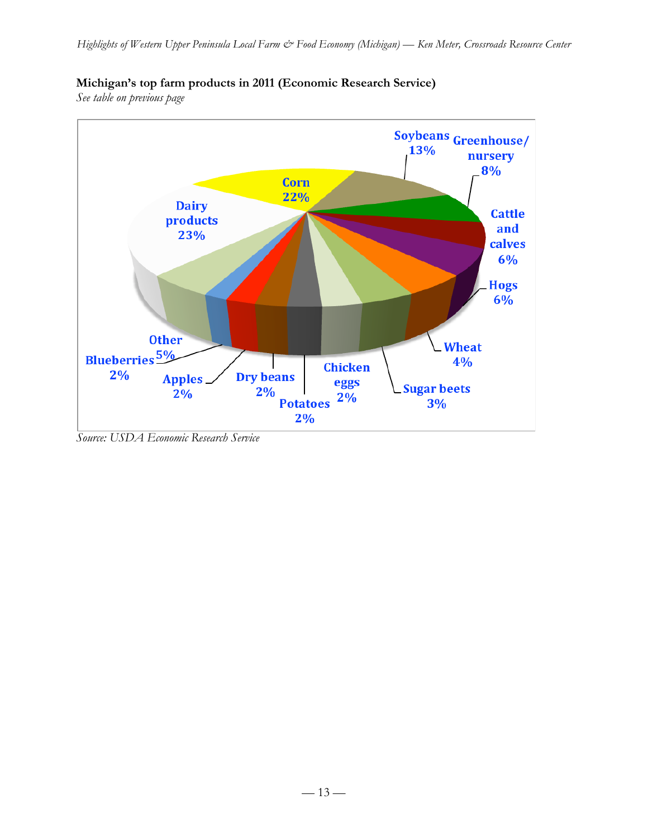

# **Michigan's top farm products in 2011 (Economic Research Service)**

*See table on previous page*

*Source: USDA Economic Research Service*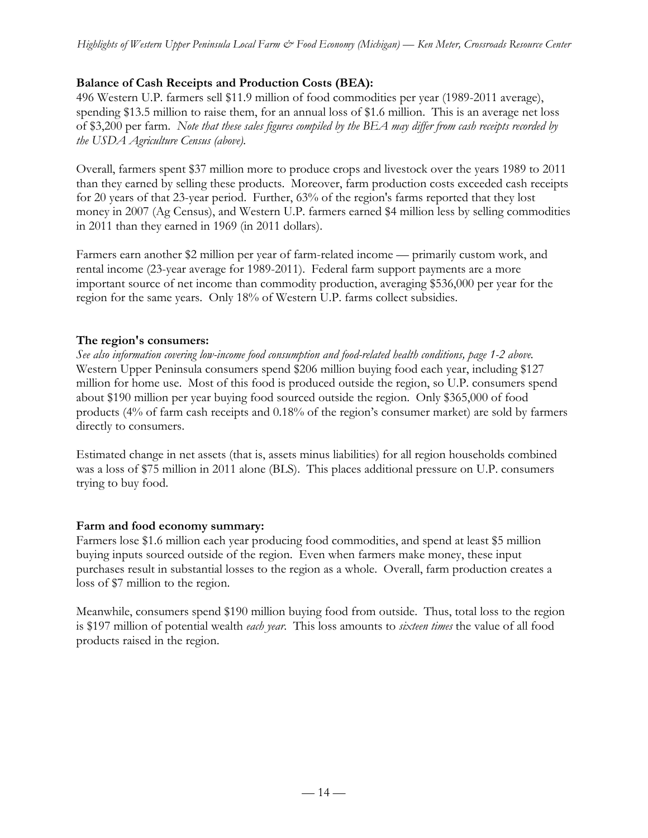## **Balance of Cash Receipts and Production Costs (BEA):**

496 Western U.P. farmers sell \$11.9 million of food commodities per year (1989-2011 average), spending \$13.5 million to raise them, for an annual loss of \$1.6 million. This is an average net loss of \$3,200 per farm. *Note that these sales figures compiled by the BEA may differ from cash receipts recorded by the USDA Agriculture Census (above).*

Overall, farmers spent \$37 million more to produce crops and livestock over the years 1989 to 2011 than they earned by selling these products. Moreover, farm production costs exceeded cash receipts for 20 years of that 23-year period. Further, 63% of the region's farms reported that they lost money in 2007 (Ag Census), and Western U.P. farmers earned \$4 million less by selling commodities in 2011 than they earned in 1969 (in 2011 dollars).

Farmers earn another \$2 million per year of farm-related income — primarily custom work, and rental income (23-year average for 1989-2011). Federal farm support payments are a more important source of net income than commodity production, averaging \$536,000 per year for the region for the same years. Only 18% of Western U.P. farms collect subsidies.

### **The region's consumers:**

*See also information covering low-income food consumption and food-related health conditions, page 1-2 above.* Western Upper Peninsula consumers spend \$206 million buying food each year, including \$127 million for home use. Most of this food is produced outside the region, so U.P. consumers spend about \$190 million per year buying food sourced outside the region. Only \$365,000 of food products (4% of farm cash receipts and 0.18% of the region's consumer market) are sold by farmers directly to consumers.

Estimated change in net assets (that is, assets minus liabilities) for all region households combined was a loss of \$75 million in 2011 alone (BLS). This places additional pressure on U.P. consumers trying to buy food.

### **Farm and food economy summary:**

Farmers lose \$1.6 million each year producing food commodities, and spend at least \$5 million buying inputs sourced outside of the region. Even when farmers make money, these input purchases result in substantial losses to the region as a whole. Overall, farm production creates a loss of \$7 million to the region.

Meanwhile, consumers spend \$190 million buying food from outside. Thus, total loss to the region is \$197 million of potential wealth *each year*. This loss amounts to *sixteen times* the value of all food products raised in the region.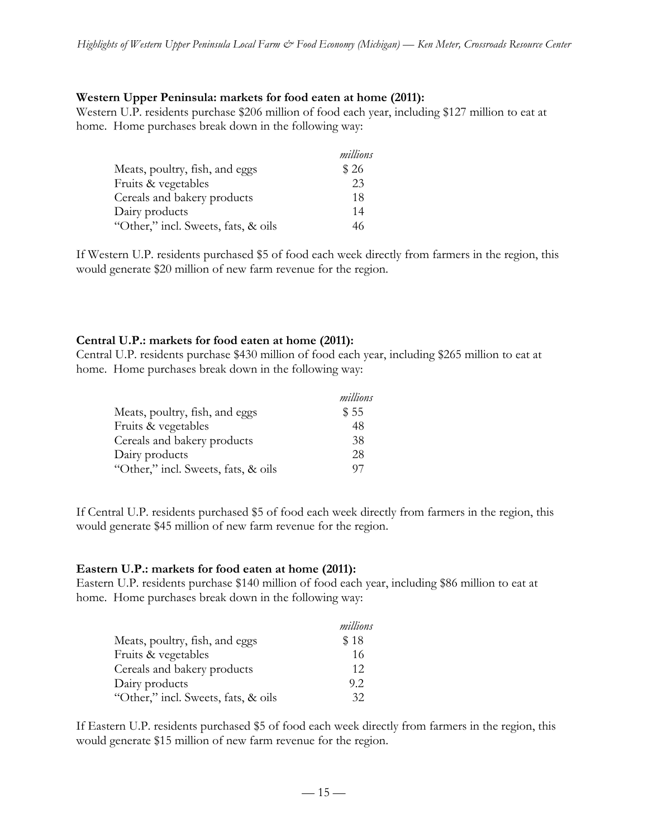### **Western Upper Peninsula: markets for food eaten at home (2011):**

Western U.P. residents purchase \$206 million of food each year, including \$127 million to eat at home. Home purchases break down in the following way:

|                                     | millions |
|-------------------------------------|----------|
| Meats, poultry, fish, and eggs      | \$26     |
| Fruits & vegetables                 | 23       |
| Cereals and bakery products         | 18       |
| Dairy products                      | 14       |
| "Other," incl. Sweets, fats, & oils | 46       |

If Western U.P. residents purchased \$5 of food each week directly from farmers in the region, this would generate \$20 million of new farm revenue for the region.

#### **Central U.P.: markets for food eaten at home (2011):**

Central U.P. residents purchase \$430 million of food each year, including \$265 million to eat at home. Home purchases break down in the following way:

|                                     | millions |
|-------------------------------------|----------|
| Meats, poultry, fish, and eggs      | \$55     |
| Fruits & vegetables                 | 48       |
| Cereals and bakery products         | 38       |
| Dairy products                      | 28       |
| "Other," incl. Sweets, fats, & oils | 07       |

If Central U.P. residents purchased \$5 of food each week directly from farmers in the region, this would generate \$45 million of new farm revenue for the region.

#### **Eastern U.P.: markets for food eaten at home (2011):**

Eastern U.P. residents purchase \$140 million of food each year, including \$86 million to eat at home. Home purchases break down in the following way:

|                                     | millions |
|-------------------------------------|----------|
| Meats, poultry, fish, and eggs      | \$18     |
| Fruits & vegetables                 | 16       |
| Cereals and bakery products         | 12       |
| Dairy products                      | 9.2      |
| "Other," incl. Sweets, fats, & oils | 32       |

If Eastern U.P. residents purchased \$5 of food each week directly from farmers in the region, this would generate \$15 million of new farm revenue for the region.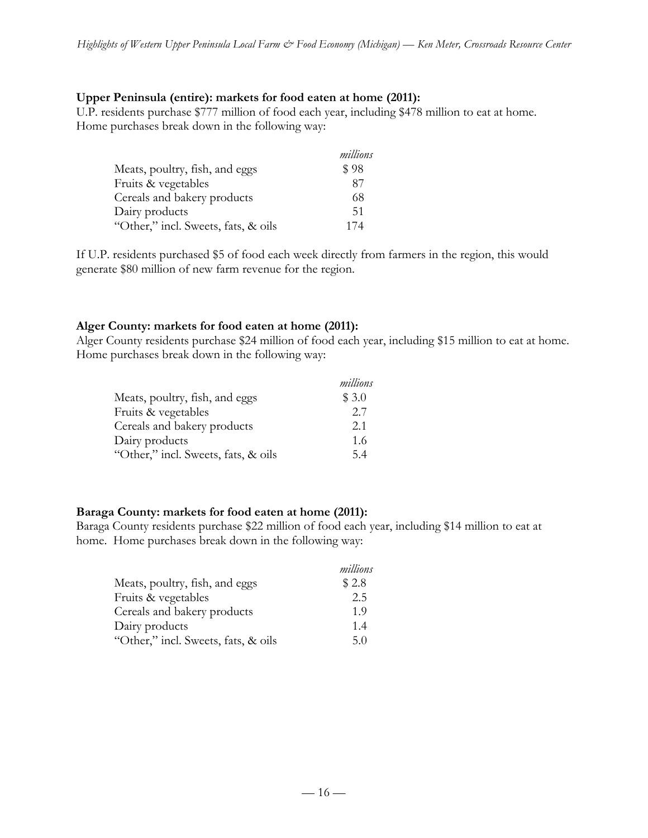### **Upper Peninsula (entire): markets for food eaten at home (2011):**

U.P. residents purchase \$777 million of food each year, including \$478 million to eat at home. Home purchases break down in the following way:

|                                     | millions |
|-------------------------------------|----------|
| Meats, poultry, fish, and eggs      | \$98     |
| Fruits & vegetables                 | 87       |
| Cereals and bakery products         | 68       |
| Dairy products                      | -51      |
| "Other," incl. Sweets, fats, & oils | 174      |

If U.P. residents purchased \$5 of food each week directly from farmers in the region, this would generate \$80 million of new farm revenue for the region.

#### **Alger County: markets for food eaten at home (2011):**

Alger County residents purchase \$24 million of food each year, including \$15 million to eat at home. Home purchases break down in the following way:

|                                     | millions |
|-------------------------------------|----------|
| Meats, poultry, fish, and eggs      | \$3.0    |
| Fruits & vegetables                 | 2.7      |
| Cereals and bakery products         | 2.1      |
| Dairy products                      | 1.6      |
| "Other," incl. Sweets, fats, & oils | 54       |

#### **Baraga County: markets for food eaten at home (2011):**

Baraga County residents purchase \$22 million of food each year, including \$14 million to eat at home. Home purchases break down in the following way:

|                                     | millions |
|-------------------------------------|----------|
| Meats, poultry, fish, and eggs      | \$2.8    |
| Fruits & vegetables                 | 2.5      |
| Cereals and bakery products         | 1.9      |
| Dairy products                      | 1.4      |
| "Other," incl. Sweets, fats, & oils | 5.0      |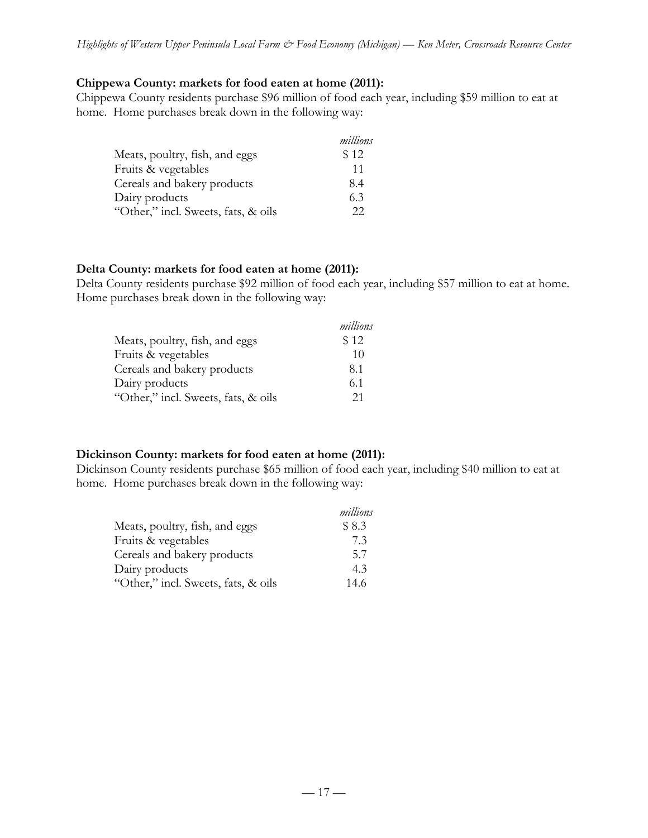### **Chippewa County: markets for food eaten at home (2011):**

Chippewa County residents purchase \$96 million of food each year, including \$59 million to eat at home. Home purchases break down in the following way:

|                                     | millions |
|-------------------------------------|----------|
| Meats, poultry, fish, and eggs      | \$12     |
| Fruits & vegetables                 | 11       |
| Cereals and bakery products         | 8.4      |
| Dairy products                      | 6.3      |
| "Other," incl. Sweets, fats, & oils | フフ       |

### **Delta County: markets for food eaten at home (2011):**

Delta County residents purchase \$92 million of food each year, including \$57 million to eat at home. Home purchases break down in the following way:

|                                     | millions |
|-------------------------------------|----------|
| Meats, poultry, fish, and eggs      | \$12     |
| Fruits & vegetables                 | 10       |
| Cereals and bakery products         | 8.1      |
| Dairy products                      | 6.1      |
| "Other," incl. Sweets, fats, & oils | 21       |

### **Dickinson County: markets for food eaten at home (2011):**

Dickinson County residents purchase \$65 million of food each year, including \$40 million to eat at home. Home purchases break down in the following way:

|                                     | millions |
|-------------------------------------|----------|
| Meats, poultry, fish, and eggs      | \$8.3    |
| Fruits & vegetables                 | 7.3      |
| Cereals and bakery products         | 5.7      |
| Dairy products                      | 4.3      |
| "Other," incl. Sweets, fats, & oils | 14.6     |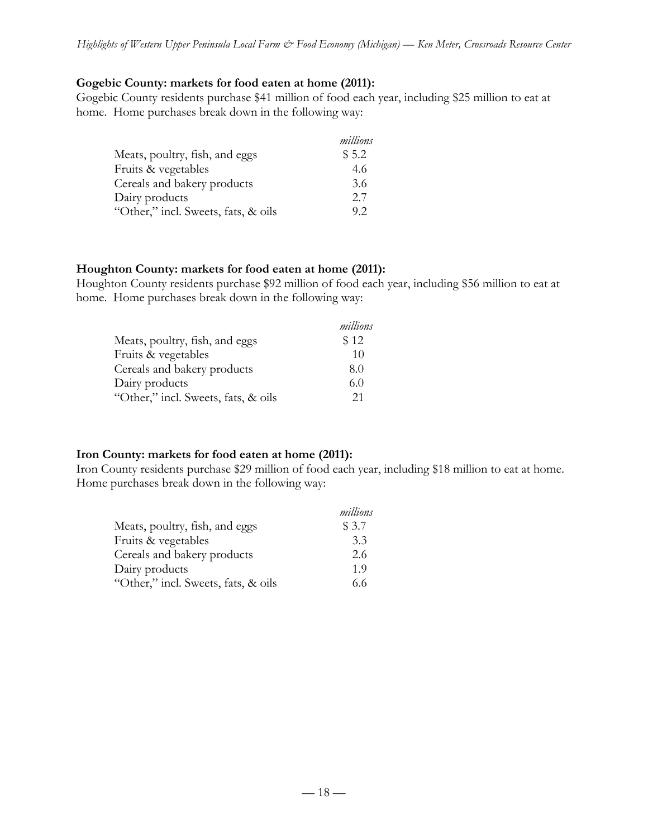### **Gogebic County: markets for food eaten at home (2011):**

Gogebic County residents purchase \$41 million of food each year, including \$25 million to eat at home. Home purchases break down in the following way:

|                                     | millions |
|-------------------------------------|----------|
| Meats, poultry, fish, and eggs      | \$5.2    |
| Fruits & vegetables                 | 4.6      |
| Cereals and bakery products         | 3.6      |
| Dairy products                      | 2.7      |
| "Other," incl. Sweets, fats, & oils | 92       |

#### **Houghton County: markets for food eaten at home (2011):**

Houghton County residents purchase \$92 million of food each year, including \$56 million to eat at home. Home purchases break down in the following way:

|                                     | millions |
|-------------------------------------|----------|
| Meats, poultry, fish, and eggs      | \$12     |
| Fruits & vegetables                 | 10       |
| Cereals and bakery products         | 8.0      |
| Dairy products                      | 6.0      |
| "Other," incl. Sweets, fats, & oils | 21       |

### **Iron County: markets for food eaten at home (2011):**

Iron County residents purchase \$29 million of food each year, including \$18 million to eat at home. Home purchases break down in the following way:

|                                     | millions |
|-------------------------------------|----------|
| Meats, poultry, fish, and eggs      | \$3.7    |
| Fruits & vegetables                 | 3.3      |
| Cereals and bakery products         | 2.6      |
| Dairy products                      | 1.9      |
| "Other," incl. Sweets, fats, & oils | 6.6      |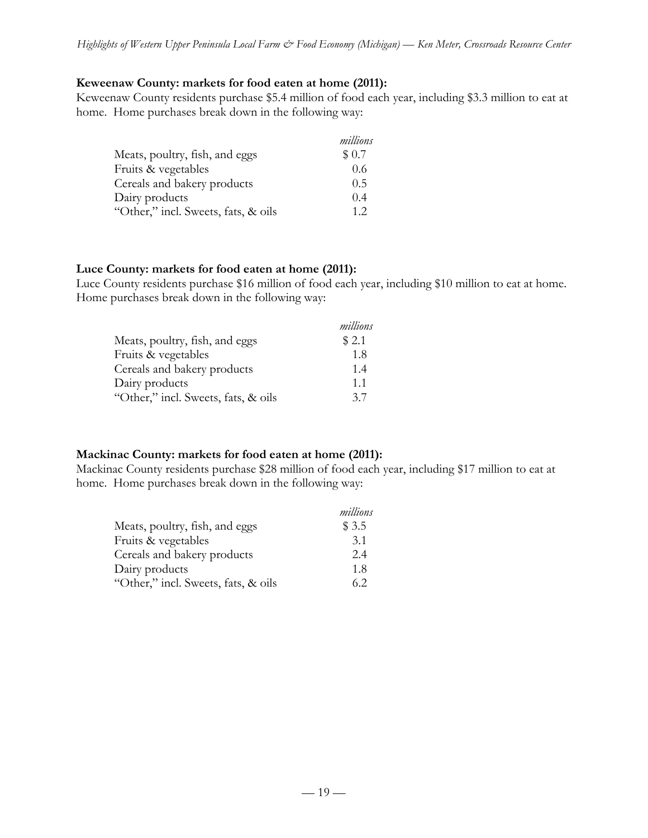### **Keweenaw County: markets for food eaten at home (2011):**

Keweenaw County residents purchase \$5.4 million of food each year, including \$3.3 million to eat at home. Home purchases break down in the following way:

|                                     | millions |
|-------------------------------------|----------|
| Meats, poultry, fish, and eggs      | \$0.7    |
| Fruits & vegetables                 | 0.6      |
| Cereals and bakery products         | 0.5      |
| Dairy products                      | 0.4      |
| "Other," incl. Sweets, fats, & oils | 12       |

#### **Luce County: markets for food eaten at home (2011):**

Luce County residents purchase \$16 million of food each year, including \$10 million to eat at home. Home purchases break down in the following way:

|                                     | millions |
|-------------------------------------|----------|
| Meats, poultry, fish, and eggs      | \$2.1    |
| Fruits & vegetables                 | 1.8      |
| Cereals and bakery products         | 1.4      |
| Dairy products                      | 11       |
| "Other," incl. Sweets, fats, & oils | 37       |

### **Mackinac County: markets for food eaten at home (2011):**

Mackinac County residents purchase \$28 million of food each year, including \$17 million to eat at home. Home purchases break down in the following way:

|                                     | millions |
|-------------------------------------|----------|
| Meats, poultry, fish, and eggs      | \$3.5    |
| Fruits & vegetables                 | 3.1      |
| Cereals and bakery products         | 2.4      |
| Dairy products                      | 1.8      |
| "Other," incl. Sweets, fats, & oils | 62       |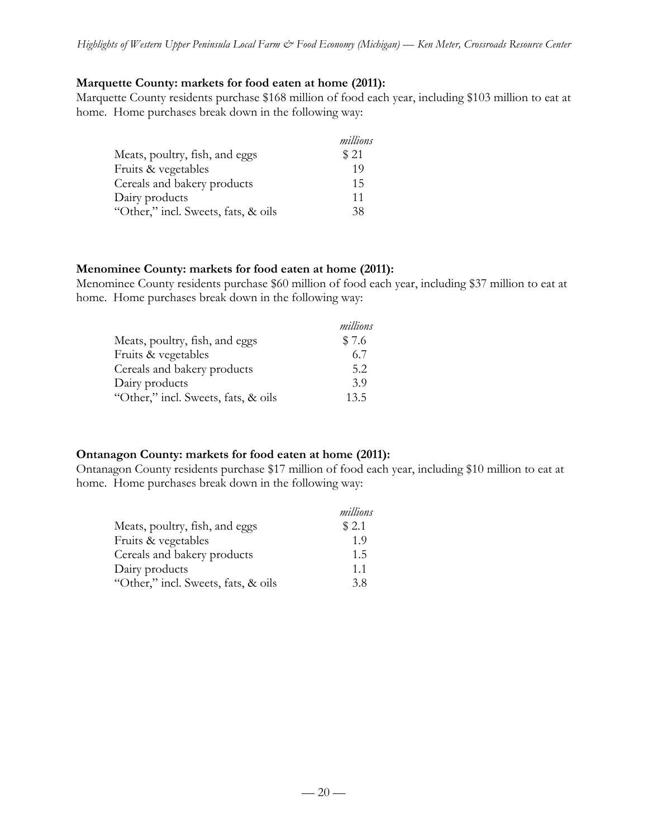### **Marquette County: markets for food eaten at home (2011):**

Marquette County residents purchase \$168 million of food each year, including \$103 million to eat at home. Home purchases break down in the following way:

|                                     | millions |
|-------------------------------------|----------|
| Meats, poultry, fish, and eggs      | \$21     |
| Fruits & vegetables                 | 19       |
| Cereals and bakery products         | 15       |
| Dairy products                      | 11       |
| "Other," incl. Sweets, fats, & oils | 38       |

#### **Menominee County: markets for food eaten at home (2011):**

Menominee County residents purchase \$60 million of food each year, including \$37 million to eat at home. Home purchases break down in the following way:

|                                     | millions |
|-------------------------------------|----------|
| Meats, poultry, fish, and eggs      | \$7.6    |
| Fruits & vegetables                 | 6.7      |
| Cereals and bakery products         | 5.2      |
| Dairy products                      | 3.9      |
| "Other," incl. Sweets, fats, & oils | 13.5     |

### **Ontanagon County: markets for food eaten at home (2011):**

Ontanagon County residents purchase \$17 million of food each year, including \$10 million to eat at home. Home purchases break down in the following way:

|                                     | millions |
|-------------------------------------|----------|
| Meats, poultry, fish, and eggs      | \$2.1    |
| Fruits & vegetables                 | 1.9      |
| Cereals and bakery products         | 1.5      |
| Dairy products                      | 11       |
| "Other," incl. Sweets, fats, & oils | 38       |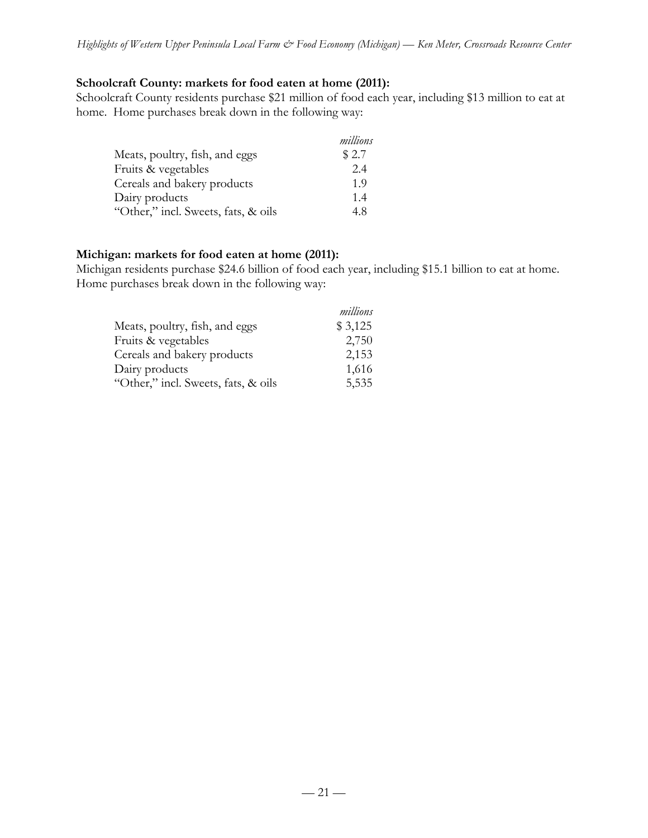### **Schoolcraft County: markets for food eaten at home (2011):**

Schoolcraft County residents purchase \$21 million of food each year, including \$13 million to eat at home. Home purchases break down in the following way:

|                                     | millions |
|-------------------------------------|----------|
| Meats, poultry, fish, and eggs      | \$2.7    |
| Fruits & vegetables                 | 2.4      |
| Cereals and bakery products         | 1.9      |
| Dairy products                      | 1.4      |
| "Other," incl. Sweets, fats, & oils | 4.8      |

### **Michigan: markets for food eaten at home (2011):**

Michigan residents purchase \$24.6 billion of food each year, including \$15.1 billion to eat at home. Home purchases break down in the following way:

|                                     | millions |
|-------------------------------------|----------|
| Meats, poultry, fish, and eggs      | \$3,125  |
| Fruits & vegetables                 | 2,750    |
| Cereals and bakery products         | 2,153    |
| Dairy products                      | 1,616    |
| "Other," incl. Sweets, fats, & oils | 5,535    |